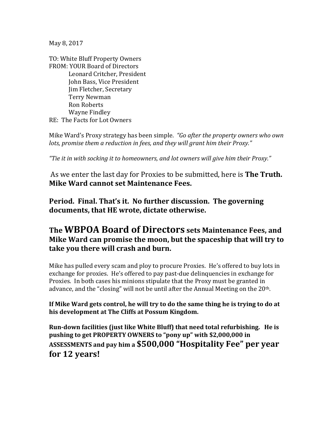May 8, 2017

TO: White Bluff Property Owners FROM: YOUR Board of Directors Leonard Critcher, President John Bass, Vice President Jim Fletcher, Secretary Terry Newman Ron Roberts Wayne Findley RE: The Facts for Lot Owners

Mike Ward's Proxy strategy has been simple. *"Go after the property owners who own lots, promise them a reduction in fees, and they will grant him their Proxy."*

*"Tie it in with socking it to homeowners, and lot owners will give him their Proxy."*

As we enter the last day for Proxies to be submitted, here is **The Truth. Mike Ward cannot set Maintenance Fees.** 

**Period. Final. That's it. No further discussion. The governing documents, that HE wrote, dictate otherwise.**

## **The WBPOA Board of Directors sets Maintenance Fees, and Mike Ward can promise the moon, but the spaceship that will try to take you there will crash and burn.**

Mike has pulled every scam and ploy to procure Proxies. He's offered to buy lots in exchange for proxies. He's offered to pay past-due delinquencies in exchange for Proxies. In both cases his minions stipulate that the Proxy must be granted in advance, and the "closing" will not be until after the Annual Meeting on the 20<sup>th</sup>.

**If Mike Ward gets control, he will try to do the same thing he is trying to do at his development at The Cliffs at Possum Kingdom.**

**Run-down facilities (just like White Bluff) that need total refurbishing. He is pushing to get PROPERTY OWNERS to "pony up" with \$2,000,000 in ASSESSMENTS and pay him a \$500,000 "Hospitality Fee" per year for 12 years!**